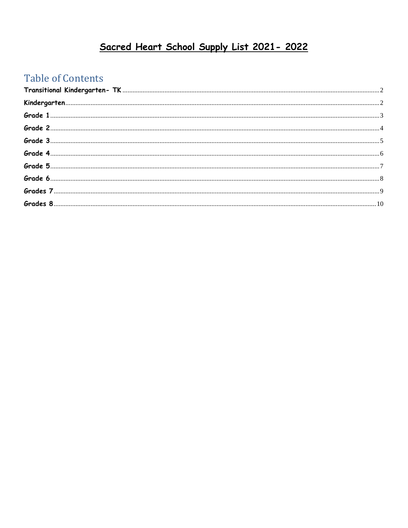## Sacred Heart School Supply List 2021-2022

## **Table of Contents**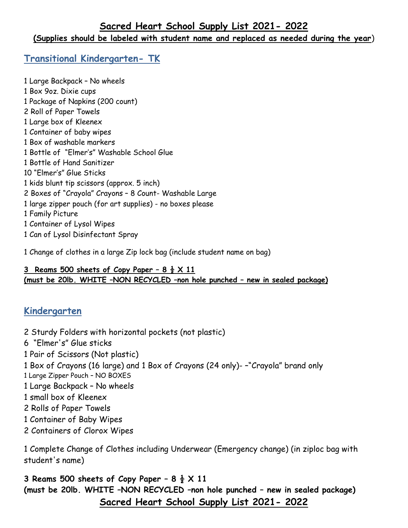#### **(Supplies should be labeled with student name and replaced as needed during the year**)

#### <span id="page-1-0"></span>**Transitional Kindergarten- TK**

1 Large Backpack – No wheels 1 Box 9oz. Dixie cups 1 Package of Napkins (200 count) 2 Roll of Paper Towels 1 Large box of Kleenex 1 Container of baby wipes 1 Box of washable markers 1 Bottle of "Elmer's" Washable School Glue 1 Bottle of Hand Sanitizer 10 "Elmer's" Glue Sticks 1 kids blunt tip scissors (approx. 5 inch) 2 Boxes of "Crayola" Crayons – 8 Count- Washable Large 1 large zipper pouch (for art supplies) - no boxes please 1 Family Picture 1 Container of Lysol Wipes 1 Can of Lysol Disinfectant Spray

1 Change of clothes in a large Zip lock bag (include student name on bag)

#### **3 Reams 500 sheets of Copy Paper – 8 ½ X 11 (must be 20lb. WHITE –NON RECYCLED –non hole punched – new in sealed package)**

#### <span id="page-1-1"></span>**Kindergarten**

2 Sturdy Folders with horizontal pockets (not plastic) 6 "Elmer's" Glue sticks 1 Pair of Scissors (Not plastic) 1 Box of Crayons (16 large) and 1 Box of Crayons (24 only)- –"Crayola" brand only 1 Large Zipper Pouch – NO BOXES 1 Large Backpack – No wheels 1 small box of Kleenex 2 Rolls of Paper Towels 1 Container of Baby Wipes 2 Containers of Clorox Wipes

1 Complete Change of Clothes including Underwear (Emergency change) (in ziploc bag with student's name)

**3 Reams 500 sheets of Copy Paper – 8 ½ X 11 (must be 20lb. WHITE –NON RECYCLED –non hole punched – new in sealed package) Sacred Heart School Supply List 2021- 2022**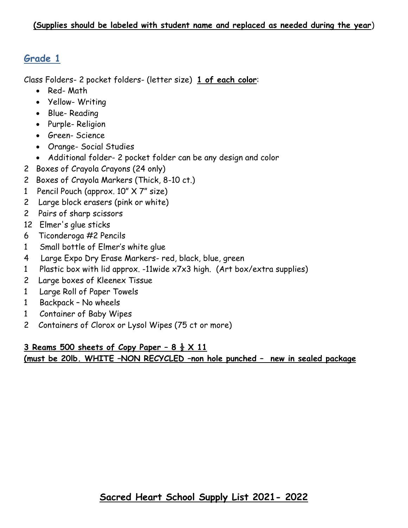<span id="page-2-0"></span>Class Folders- 2 pocket folders- (letter size) **1 of each color**:

- Red- Math
- Yellow- Writing
- Blue- Reading
- Purple- Religion
- Green- Science
- Orange- Social Studies
- Additional folder- 2 pocket folder can be any design and color
- 2 Boxes of Crayola Crayons (24 only)
- 2 Boxes of Crayola Markers (Thick, 8-10 ct.)
- 1 Pencil Pouch (approx. 10" X 7" size)
- 2 Large block erasers (pink or white)
- 2 Pairs of sharp scissors
- 12 Elmer's glue sticks
- 6 Ticonderoga #2 Pencils
- 1 Small bottle of Elmer's white glue
- 4 Large Expo Dry Erase Markers- red, black, blue, green
- 1 Plastic box with lid approx. -11wide x7x3 high. (Art box/extra supplies)
- 2 Large boxes of Kleenex Tissue
- 1 Large Roll of Paper Towels
- 1 Backpack No wheels
- 1 Container of Baby Wipes
- 2 Containers of Clorox or Lysol Wipes (75 ct or more)

#### **3 Reams 500 sheets of Copy Paper – 8 ½ X 11 (must be 20lb. WHITE –NON RECYCLED –non hole punched – new in sealed package**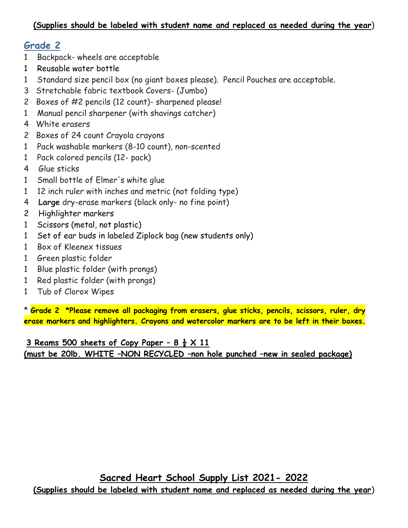- <span id="page-3-0"></span>1 Backpack- wheels are acceptable
- 1 Reusable water bottle
- 1 Standard size pencil box (no giant boxes please). Pencil Pouches are acceptable.
- 3 Stretchable fabric textbook Covers- (Jumbo)
- 2 Boxes of #2 pencils (12 count)- sharpened please!
- 1 Manual pencil sharpener (with shavings catcher)
- 4 White erasers
- 2 Boxes of 24 count Crayola crayons
- 1 Pack washable markers (8-10 count), non-scented
- 1 Pack colored pencils (12- pack)
- 4 Glue sticks
- 1 Small bottle of Elmer's white glue
- 1 12 inch ruler with inches and metric (not folding type)
- 4 **Large** dry-erase markers (black only- no fine point)
- 2 Highlighter markers
- 1 Scissors (metal, not plastic)
- 1 Set of ear buds in labeled Ziplock bag (new students only)
- 1 Box of Kleenex tissues
- 1 Green plastic folder
- 1 Blue plastic folder (with prongs)
- 1 Red plastic folder (with prongs)
- 1 Tub of Clorox Wipes

\* **Grade 2 \*Please remove all packaging from erasers, glue sticks, pencils, scissors, ruler, dry erase markers and highlighters. Crayons and watercolor markers are to be left in their boxes.**

**3 Reams 500 sheets of Copy Paper – 8 ½ X 11 (must be 20lb. WHITE –NON RECYCLED –non hole punched –new in sealed package)**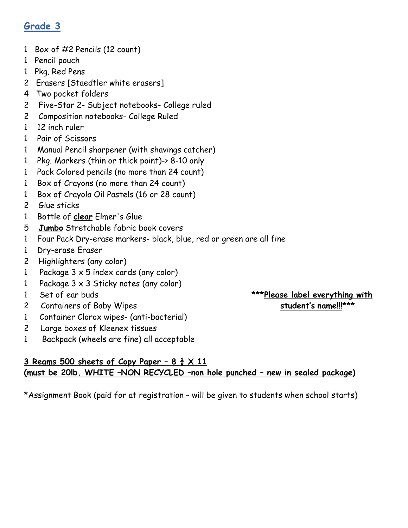- <span id="page-4-0"></span>1 Box of #2 Pencils (12 count)
- 1 Pencil pouch
- 1 Pkg. Red Pens
- 2 Erasers [Staedtler white erasers]
- 4 Two pocket folders
- 2 Five-Star 2- Subject notebooks- College ruled
- 2 Composition notebooks- College Ruled
- 1 12 inch ruler
- 1 Pair of Scissors
- 1 Manual Pencil sharpener (with shavings catcher)
- 1 Pkg. Markers (thin or thick point)-> 8-10 only
- 1 Pack Colored pencils (no more than 24 count)
- 1 Box of Crayons (no more than 24 count)
- 1 Box of Crayola Oil Pastels (16 or 28 count)
- 2 Glue sticks
- 1 Bottle of **clear** Elmer's Glue
- 5 **Jumbo** Stretchable fabric book covers
- 1 Four Pack Dry-erase markers- black, blue, red or green are all fine
- 1 Dry-erase Eraser
- 2 Highlighters (any color)
- 1 Package  $3 \times 5$  index cards (any color)
- 1 Package 3 x 3 Sticky notes (any color)
- 
- 2 Containers of Baby Wipes **student's name!!!\*\*\***
- 1 Container Clorox wipes- (anti-bacterial)
- 2 Large boxes of Kleenex tissues
- 1 Backpack (wheels are fine) all acceptable

#### **3 Reams 500 sheets of Copy Paper – 8 ½ X 11 (must be 20lb. WHITE –NON RECYCLED –non hole punched – new in sealed package)**

\*Assignment Book (paid for at registration – will be given to students when school starts)

# 1 Set of ear buds **\*\*\*Please label everything with**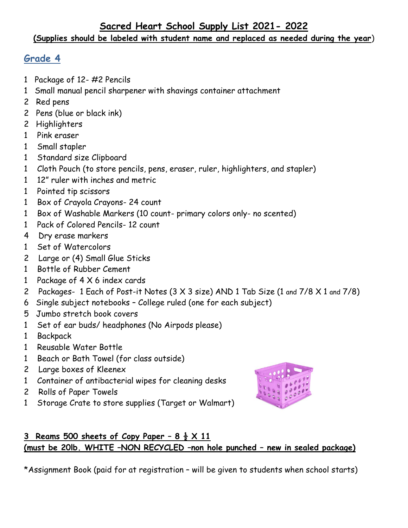## **Sacred Heart School Supply List 2021- 2022**

#### **(Supplies should be labeled with student name and replaced as needed during the year**)

## <span id="page-5-0"></span>**Grade 4**

- 1 Package of 12- #2 Pencils
- 1 Small manual pencil sharpener with shavings container attachment
- 2 Red pens
- 2 Pens (blue or black ink)
- 2 Highlighters
- 1 Pink eraser
- 1 Small stapler
- 1 Standard size Clipboard
- 1 Cloth Pouch (to store pencils, pens, eraser, ruler, highlighters, and stapler)
- 1 12" ruler with inches and metric
- 1 Pointed tip scissors
- 1 Box of Crayola Crayons- 24 count
- 1 Box of Washable Markers (10 count- primary colors only- no scented)
- 1 Pack of Colored Pencils- 12 count
- 4 Dry erase markers
- 1 Set of Watercolors
- 2 Large or (4) Small Glue Sticks
- 1 Bottle of Rubber Cement
- 1 Package of 4 X 6 index cards
- 2 Packages- 1 Each of Post-it Notes (3 X 3 size) AND 1 Tab Size (1 and 7/8 X 1 and 7/8)
- 6 Single subject notebooks College ruled (one for each subject)
- 5 Jumbo stretch book covers
- 1 Set of ear buds/ headphones (No Airpods please)
- 1 Backpack
- 1 Reusable Water Bottle
- 1 Beach or Bath Towel (for class outside)
- 2 Large boxes of Kleenex
- 1 Container of antibacterial wipes for cleaning desks
- 2 Rolls of Paper Towels
- 1 Storage Crate to store supplies (Target or Walmart)



## **3** Reams 500 sheets of Copy Paper  $-8\frac{1}{2} \times 11$ **(must be 20lb. WHITE –NON RECYCLED –non hole punched – new in sealed package)**

\*Assignment Book (paid for at registration – will be given to students when school starts)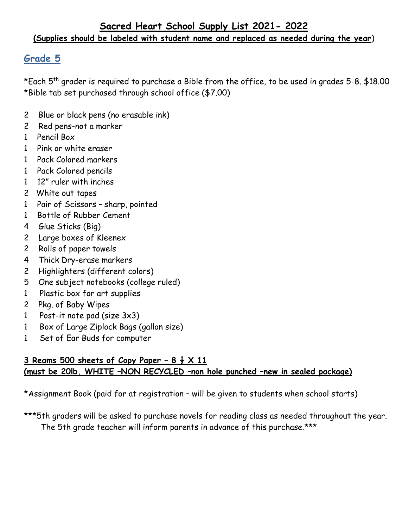<span id="page-6-0"></span>\*Each 5th grader is required to purchase a Bible from the office, to be used in grades 5-8. \$18.00 \*Bible tab set purchased through school office (\$7.00)

- 2 Blue or black pens (no erasable ink)
- 2 Red pens-not a marker
- 1 Pencil Box
- 1 Pink or white eraser
- 1 Pack Colored markers
- 1 Pack Colored pencils
- 1 12" ruler with inches
- 2 White out tapes
- 1 Pair of Scissors sharp, pointed
- 1 Bottle of Rubber Cement
- 4 Glue Sticks (Big)
- 2 Large boxes of Kleenex
- 2 Rolls of paper towels
- 4 Thick Dry-erase markers
- 2 Highlighters (different colors)
- 5 One subject notebooks (college ruled)
- 1 Plastic box for art supplies
- 2 Pkg. of Baby Wipes
- 1 Post-it note pad (size 3x3)
- 1 Box of Large Ziplock Bags (gallon size)
- 1 Set of Ear Buds for computer

#### **3** Reams 500 sheets of Copy Paper  $-8\frac{1}{2} \times 11$ **(must be 20lb. WHITE –NON RECYCLED –non hole punched –new in sealed package)**

\*Assignment Book (paid for at registration – will be given to students when school starts)

\*\*\*5th graders will be asked to purchase novels for reading class as needed throughout the year. The 5th grade teacher will inform parents in advance of this purchase.\*\*\*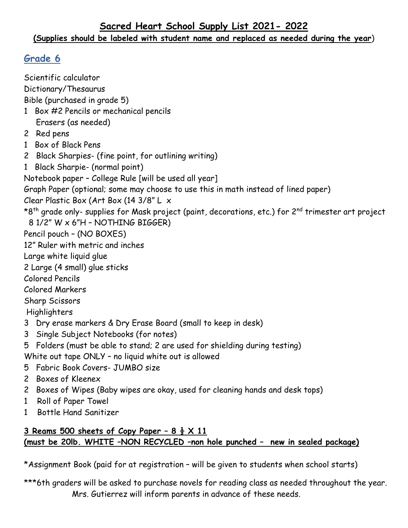### **Sacred Heart School Supply List 2021- 2022**

#### **(Supplies should be labeled with student name and replaced as needed during the year**)

## <span id="page-7-0"></span>**Grade 6**

Scientific calculator Dictionary/Thesaurus Bible (purchased in grade 5) 1 Box #2 Pencils or mechanical pencils Erasers (as needed) 2 Red pens 1 Box of Black Pens 2 Black Sharpies- (fine point, for outlining writing) 1 Black Sharpie- (normal point) Notebook paper – College Rule [will be used all year] Graph Paper (optional; some may choose to use this in math instead of lined paper) Clear Plastic Box (Art Box (14 3/8" L x \*8<sup>th</sup> grade only- supplies for Mask project (paint, decorations, etc.) for 2<sup>nd</sup> trimester art project 8 1/2" W x 6"H – NOTHING BIGGER) Pencil pouch – (NO BOXES) 12" Ruler with metric and inches Large white liquid glue 2 Large (4 small) glue sticks Colored Pencils Colored Markers Sharp Scissors Highlighters 3 Dry erase markers & Dry Erase Board (small to keep in desk) 3 Single Subject Notebooks (for notes) 5 Folders (must be able to stand; 2 are used for shielding during testing) White out tape ONLY – no liquid white out is allowed 5 Fabric Book Covers- JUMBO size 2 Boxes of Kleenex 2 Boxes of Wipes (Baby wipes are okay, used for cleaning hands and desk tops) 1 Roll of Paper Towel 1 Bottle Hand Sanitizer **3 Reams 500 sheets of Copy Paper – 8 ½ X 11** 

# **(must be 20lb. WHITE –NON RECYCLED –non hole punched – new in sealed package)**

\*Assignment Book (paid for at registration – will be given to students when school starts)

\*\*\*6th graders will be asked to purchase novels for reading class as needed throughout the year. Mrs. Gutierrez will inform parents in advance of these needs.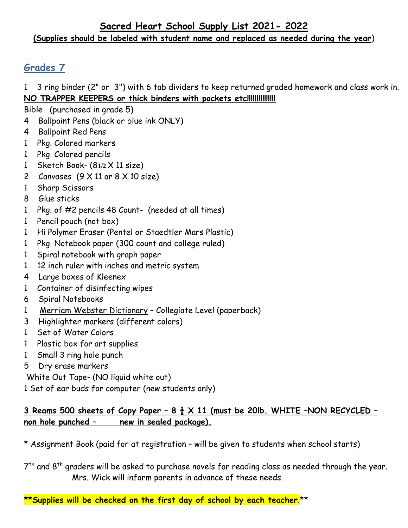#### **Sacred Heart School Supply List 2021- 2022 (Supplies should be labeled with student name and replaced as needed during the year**)

## <span id="page-8-0"></span>**Grades 7**

1 3 ring binder (2" or 3") with 6 tab dividers to keep returned graded homework and class work in. **NO TRAPPER KEEPERS or thick binders with pockets etc!!!!!!!!!!!!!!!**

Bible (purchased in grade 5)

- 4 Ballpoint Pens (black or blue ink ONLY)
- 4 Ballpoint Red Pens
- 1 Pkg. Colored markers
- 1 Pkg. Colored pencils
- 1 Sketch Book- (8**1/2** X 11 size)
- 2 Canvases  $(9 \times 11 \text{ or } 8 \times 10 \text{ size})$
- 1 Sharp Scissors
- 8 Glue sticks
- 1 Pkg. of #2 pencils 48 Count- (needed at all times)
- 1 Pencil pouch (not box)
- 1 Hi Polymer Eraser (Pentel or Staedtler Mars Plastic)
- 1 Pkg. Notebook paper (300 count and college ruled)
- 1 Spiral notebook with graph paper
- 1 12 inch ruler with inches and metric system
- 4 Large boxes of Kleenex
- 1 Container of disinfecting wipes
- 6 Spiral Notebooks
- 1 Merriam Webster Dictionary Collegiate Level (paperback)
- 3 Highlighter markers (different colors)
- 1 Set of Water Colors
- 1 Plastic box for art supplies
- 1 Small 3 ring hole punch
- 5 Dry erase markers

White Out Tape- (NO liquid white out)

1 Set of ear buds for computer (new students only)

#### **3 Reams 500 sheets of Copy Paper – 8 ½ X 11 (must be 20lb. WHITE –NON RECYCLED – non hole punched – new in sealed package).**

\* Assignment Book (paid for at registration – will be given to students when school starts)

 $7<sup>th</sup>$  and  $8<sup>th</sup>$  graders will be asked to purchase novels for reading class as needed through the year. Mrs. Wick will inform parents in advance of these needs.

**\*\*Supplies will be checked on the first day of school by each teacher**.\*\*